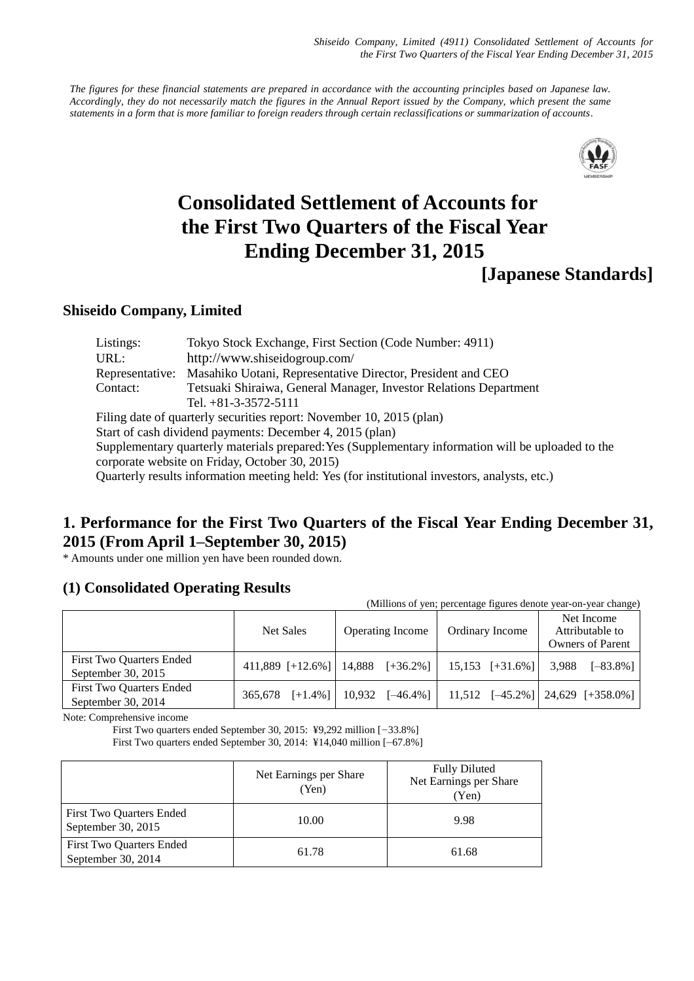*Shiseido Company, Limited (4911) Consolidated Settlement of Accounts for the First Two Quarters of the Fiscal Year Ending December 31, 2015*

*The figures for these financial statements are prepared in accordance with the accounting principles based on Japanese law. Accordingly, they do not necessarily match the figures in the Annual Report issued by the Company, which present the same statements in a form that is more familiar to foreign readers through certain reclassifications or summarization of accounts*.



# **Consolidated Settlement of Accounts for the First Two Quarters of the Fiscal Year Ending December 31, 2015**

# **Shiseido Company, Limited**

| Listings:       | Tokyo Stock Exchange, First Section (Code Number: 4911)                                            |
|-----------------|----------------------------------------------------------------------------------------------------|
| URL:            | http://www.shiseidogroup.com/                                                                      |
| Representative: | Masahiko Uotani, Representative Director, President and CEO                                        |
| Contact:        | Tetsuaki Shiraiwa, General Manager, Investor Relations Department                                  |
|                 | Tel. $+81-3-3572-5111$                                                                             |
|                 | Filing date of quarterly securities report: November 10, 2015 (plan)                               |
|                 | Start of cash dividend payments: December 4, 2015 (plan)                                           |
|                 | Supplementary quarterly materials prepared: Yes (Supplementary information will be uploaded to the |
|                 | corporate website on Friday, October 30, 2015)                                                     |
|                 | Quarterly results information meeting held: Yes (for institutional investors, analysts, etc.)      |

# **1. Performance for the First Two Quarters of the Fiscal Year Ending December 31, 2015 (From April 1–September 30, 2015)**

\* Amounts under one million yen have been rounded down.

# **(1) Consolidated Operating Results**

| (Millions of yen; percentage figures denote year-on-year change) |                       |                                            |                   |                                                          |  |  |  |
|------------------------------------------------------------------|-----------------------|--------------------------------------------|-------------------|----------------------------------------------------------|--|--|--|
|                                                                  | <b>Net Sales</b>      | <b>Operating Income</b><br>Ordinary Income |                   | Net Income<br>Attributable to<br><b>Owners of Parent</b> |  |  |  |
| First Two Quarters Ended<br>September 30, $2015$                 |                       | $411,889$ [+12.6%]   14,888 [+36.2%]       | $15,153$ [+31.6%] | 3,988<br>$[-83.8\%]$                                     |  |  |  |
| First Two Quarters Ended<br>September 30, $2014$                 | $[-1.4\%]$<br>365,678 | 10.932<br>$[-46.4\%]$                      |                   | $11,512$ $[-45.2\%]$ $24,629$ $[+358.0\%]$               |  |  |  |

Note: Comprehensive income

First Two quarters ended September 30, 2015: ¥9,292 million [–33.8%]

First Two quarters ended September 30, 2014: ¥14,040 million [–67.8%]

|                                                | Net Earnings per Share<br>(Yen) | <b>Fully Diluted</b><br>Net Earnings per Share<br>(Yen) |
|------------------------------------------------|---------------------------------|---------------------------------------------------------|
| First Two Quarters Ended<br>September 30, 2015 | 10.00                           | 9.98                                                    |
| First Two Quarters Ended<br>September 30, 2014 | 61.78                           | 61.68                                                   |

**<sup>[</sup>Japanese Standards]**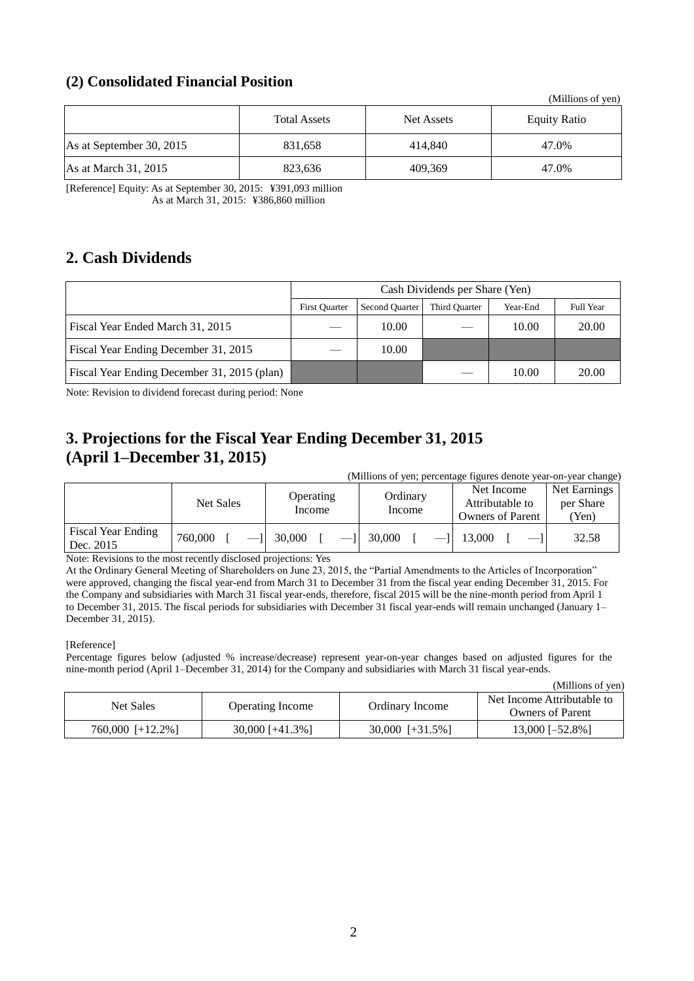# **(2) Consolidated Financial Position**

|                          |                     |                   | (Millions of yen)   |
|--------------------------|---------------------|-------------------|---------------------|
|                          | <b>Total Assets</b> | <b>Net Assets</b> | <b>Equity Ratio</b> |
| As at September 30, 2015 | 831,658             | 414,840           | 47.0%               |
| As at March 31, 2015     | 823,636             | 409,369           | 47.0%               |

[Reference] Equity: As at September 30, 2015: ¥391,093 million As at March 31, 2015: ¥386,860 million

# **2. Cash Dividends**

|                                             | Cash Dividends per Share (Yen) |                       |               |          |           |  |
|---------------------------------------------|--------------------------------|-----------------------|---------------|----------|-----------|--|
|                                             | <b>First Quarter</b>           | <b>Second Quarter</b> | Third Quarter | Year-End | Full Year |  |
| Fiscal Year Ended March 31, 2015            |                                | 10.00                 |               | 10.00    | 20.00     |  |
| Fiscal Year Ending December 31, 2015        |                                | 10.00                 |               |          |           |  |
| Fiscal Year Ending December 31, 2015 (plan) |                                |                       |               | 10.00    | 20.00     |  |

Note: Revision to dividend forecast during period: None

# **3. Projections for the Fiscal Year Ending December 31, 2015 (April 1–December 31, 2015)**

| (Millions of yen; percentage figures denote year-on-year change) |           |                     |                    |                                                          |                                    |  |
|------------------------------------------------------------------|-----------|---------------------|--------------------|----------------------------------------------------------|------------------------------------|--|
|                                                                  | Net Sales | Operating<br>Income | Ordinary<br>Income | Net Income<br>Attributable to<br><b>Owners of Parent</b> | Net Earnings<br>per Share<br>(Yen) |  |
| Fiscal Year Ending<br>Dec. 2015                                  | 760,000   | 30,000              | 30,000             | 13,000                                                   | 32.58                              |  |

Note: Revisions to the most recently disclosed projections: Yes

At the Ordinary General Meeting of Shareholders on June 23, 2015, the "Partial Amendments to the Articles of Incorporation" were approved, changing the fiscal year-end from March 31 to December 31 from the fiscal year ending December 31, 2015. For the Company and subsidiaries with March 31 fiscal year-ends, therefore, fiscal 2015 will be the nine-month period from April 1 to December 31, 2015. The fiscal periods for subsidiaries with December 31 fiscal year-ends will remain unchanged (January 1– December 31, 2015).

#### [Reference]

Percentage figures below (adjusted % increase/decrease) represent year-on-year changes based on adjusted figures for the nine-month period (April 1–December 31, 2014) for the Company and subsidiaries with March 31 fiscal year-ends.

|                  |                         |                   | (Millions of yen)                                     |
|------------------|-------------------------|-------------------|-------------------------------------------------------|
| Net Sales        | <b>Operating Income</b> | Ordinary Income   | Net Income Attributable to<br><b>Owners of Parent</b> |
| 760,000 [+12.2%] | $30,000$ [+41.3%]       | $30,000$ [+31.5%] | $13,000$ [-52.8%]                                     |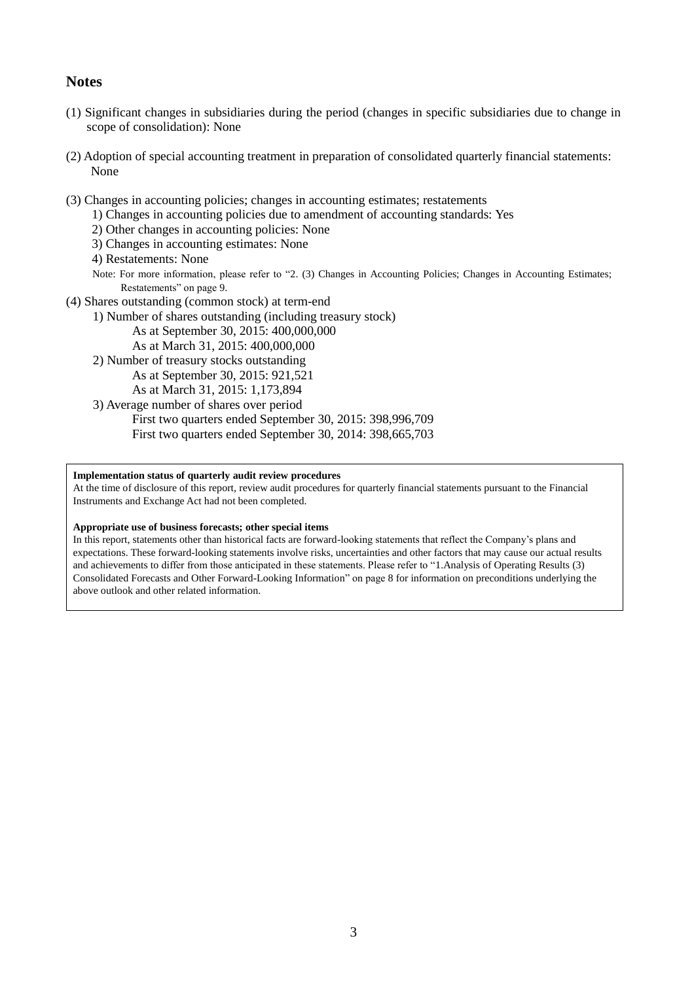# **Notes**

- (1) Significant changes in subsidiaries during the period (changes in specific subsidiaries due to change in scope of consolidation): None
- (2) Adoption of special accounting treatment in preparation of consolidated quarterly financial statements: None
- (3) Changes in accounting policies; changes in accounting estimates; restatements
	- 1) Changes in accounting policies due to amendment of accounting standards: Yes
	- 2) Other changes in accounting policies: None
	- 3) Changes in accounting estimates: None
	- 4) Restatements: None
	- Note: For more information, please refer to "2. (3) Changes in Accounting Policies; Changes in Accounting Estimates; Restatements" on page 9.
- (4) Shares outstanding (common stock) at term-end
	- 1) Number of shares outstanding (including treasury stock)
		- As at September 30, 2015: 400,000,000
		- As at March 31, 2015: 400,000,000
	- 2) Number of treasury stocks outstanding As at September 30, 2015: 921,521
		- As at March 31, 2015: 1,173,894
	- 3) Average number of shares over period
		- First two quarters ended September 30, 2015: 398,996,709 First two quarters ended September 30, 2014: 398,665,703

#### **Implementation status of quarterly audit review procedures**

At the time of disclosure of this report, review audit procedures for quarterly financial statements pursuant to the Financial Instruments and Exchange Act had not been completed.

#### **Appropriate use of business forecasts; other special items**

In this report, statements other than historical facts are forward-looking statements that reflect the Company's plans and expectations. These forward-looking statements involve risks, uncertainties and other factors that may cause our actual results and achievements to differ from those anticipated in these statements. Please refer to "1.Analysis of Operating Results (3) Consolidated Forecasts and Other Forward-Looking Information" on page 8 for information on preconditions underlying the above outlook and other related information.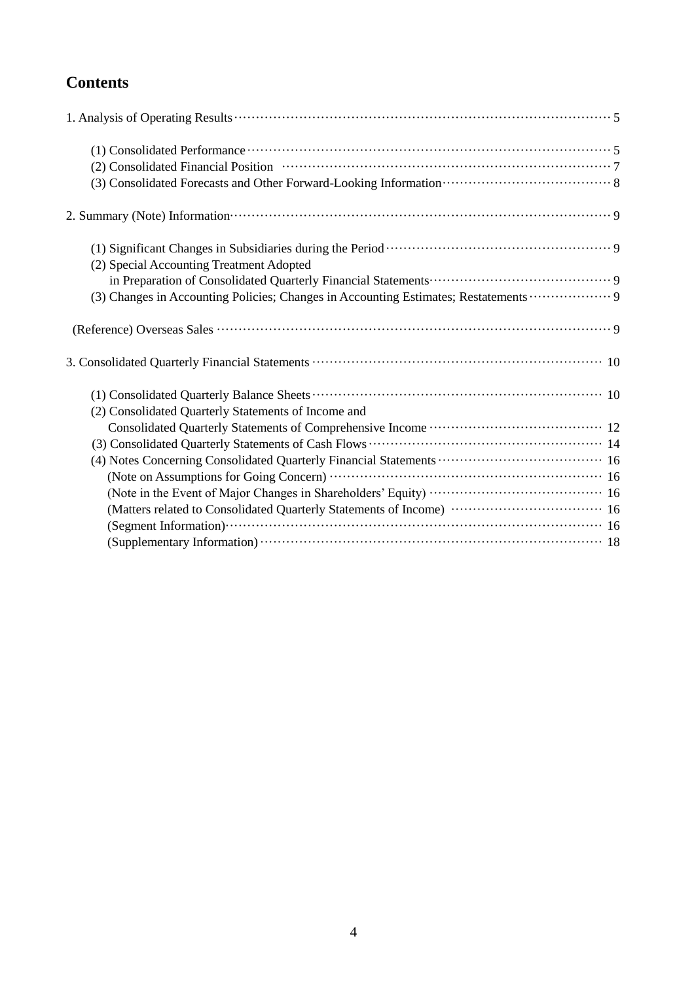# **Contents**

| (2) Consolidated Financial Position (2) Consolidated Financial Position (3)                                                                                                                                  |
|--------------------------------------------------------------------------------------------------------------------------------------------------------------------------------------------------------------|
|                                                                                                                                                                                                              |
|                                                                                                                                                                                                              |
| (1) Significant Changes in Subsidiaries during the Period (1) Significant Changes in Subsidiaries during the Period (1) Significant Changes in Subsidiaries during the Period (1) Significant Changes of $9$ |
| (2) Special Accounting Treatment Adopted                                                                                                                                                                     |
|                                                                                                                                                                                                              |
| (3) Changes in Accounting Policies; Changes in Accounting Estimates; Restatements  9                                                                                                                         |
|                                                                                                                                                                                                              |
|                                                                                                                                                                                                              |
|                                                                                                                                                                                                              |
| (2) Consolidated Quarterly Statements of Income and                                                                                                                                                          |
|                                                                                                                                                                                                              |
|                                                                                                                                                                                                              |
|                                                                                                                                                                                                              |
|                                                                                                                                                                                                              |
|                                                                                                                                                                                                              |
| (Matters related to Consolidated Quarterly Statements of Income)  16                                                                                                                                         |
|                                                                                                                                                                                                              |
|                                                                                                                                                                                                              |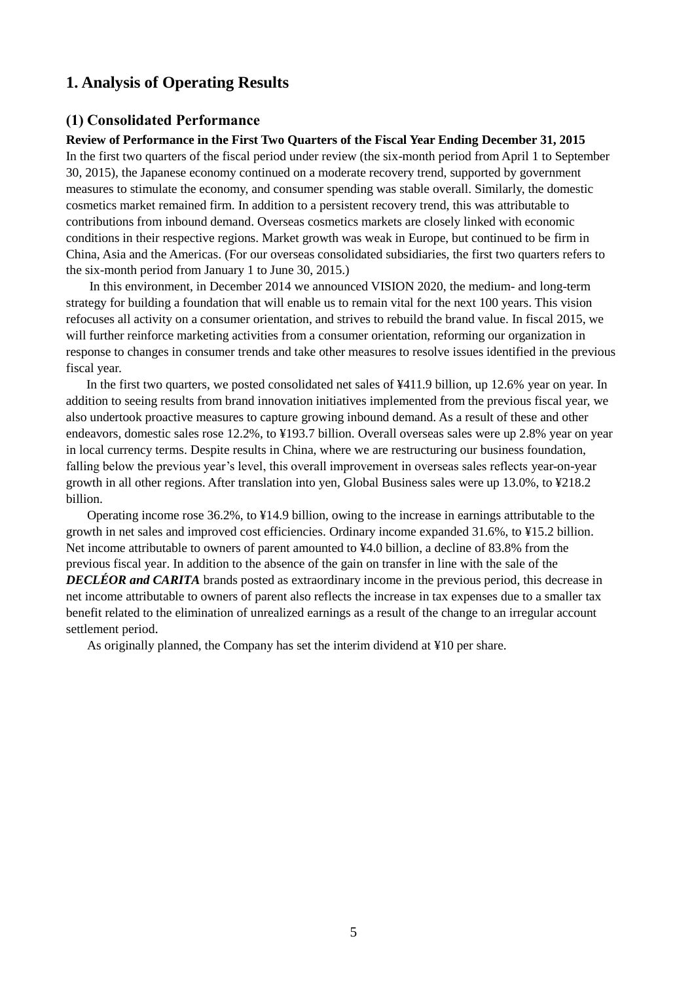# **1. Analysis of Operating Results**

# **(1) Consolidated Performance**

#### **Review of Performance in the First Two Quarters of the Fiscal Year Ending December 31, 2015**

In the first two quarters of the fiscal period under review (the six-month period from April 1 to September 30, 2015), the Japanese economy continued on a moderate recovery trend, supported by government measures to stimulate the economy, and consumer spending was stable overall. Similarly, the domestic cosmetics market remained firm. In addition to a persistent recovery trend, this was attributable to contributions from inbound demand. Overseas cosmetics markets are closely linked with economic conditions in their respective regions. Market growth was weak in Europe, but continued to be firm in China, Asia and the Americas. (For our overseas consolidated subsidiaries, the first two quarters refers to the six-month period from January 1 to June 30, 2015.)

In this environment, in December 2014 we announced VISION 2020, the medium- and long-term strategy for building a foundation that will enable us to remain vital for the next 100 years. This vision refocuses all activity on a consumer orientation, and strives to rebuild the brand value. In fiscal 2015, we will further reinforce marketing activities from a consumer orientation, reforming our organization in response to changes in consumer trends and take other measures to resolve issues identified in the previous fiscal year.

In the first two quarters, we posted consolidated net sales of ¥411.9 billion, up 12.6% year on year. In addition to seeing results from brand innovation initiatives implemented from the previous fiscal year, we also undertook proactive measures to capture growing inbound demand. As a result of these and other endeavors, domestic sales rose 12.2%, to ¥193.7 billion. Overall overseas sales were up 2.8% year on year in local currency terms. Despite results in China, where we are restructuring our business foundation, falling below the previous year's level, this overall improvement in overseas sales reflects year-on-year growth in all other regions. After translation into yen, Global Business sales were up 13.0%, to ¥218.2 billion.

Operating income rose 36.2%, to ¥14.9 billion, owing to the increase in earnings attributable to the growth in net sales and improved cost efficiencies. Ordinary income expanded 31.6%, to ¥15.2 billion. Net income attributable to owners of parent amounted to ¥4.0 billion, a decline of 83.8% from the previous fiscal year. In addition to the absence of the gain on transfer in line with the sale of the *DECLÉOR and CARITA* brands posted as extraordinary income in the previous period, this decrease in net income attributable to owners of parent also reflects the increase in tax expenses due to a smaller tax benefit related to the elimination of unrealized earnings as a result of the change to an irregular account settlement period.

As originally planned, the Company has set the interim dividend at ¥10 per share.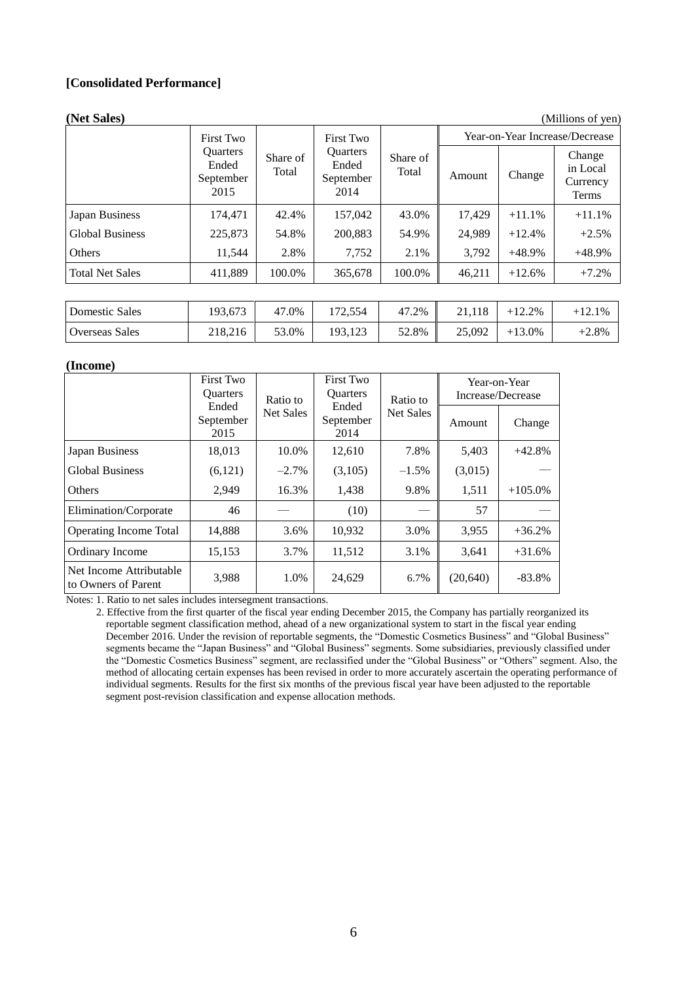## **[Consolidated Performance]**

| (Net Sales)            |                                               |                   |                                               |                   |        |                                | (Millions of yen)                       |
|------------------------|-----------------------------------------------|-------------------|-----------------------------------------------|-------------------|--------|--------------------------------|-----------------------------------------|
|                        | <b>First Two</b>                              |                   | <b>First Two</b>                              |                   |        | Year-on-Year Increase/Decrease |                                         |
|                        | <b>Ouarters</b><br>Ended<br>September<br>2015 | Share of<br>Total | <b>Ouarters</b><br>Ended<br>September<br>2014 | Share of<br>Total | Amount | Change                         | Change<br>in Local<br>Currency<br>Terms |
| Japan Business         | 174,471                                       | 42.4%             | 157,042                                       | 43.0%             | 17,429 | $+11.1%$                       | $+11.1%$                                |
| <b>Global Business</b> | 225,873                                       | 54.8%             | 200,883                                       | 54.9%             | 24,989 | $+12.4%$                       | $+2.5%$                                 |
| Others                 | 11,544                                        | 2.8%              | 7,752                                         | 2.1%              | 3,792  | $+48.9%$                       | $+48.9%$                                |
| <b>Total Net Sales</b> | 411,889                                       | 100.0%            | 365,678                                       | 100.0%            | 46,211 | $+12.6%$                       | $+7.2%$                                 |
|                        |                                               |                   |                                               |                   |        |                                |                                         |
| <b>Domestic Sales</b>  | 193,673                                       | 47.0%             | 172,554                                       | 47.2%             | 21,118 | $+12.2%$                       | $+12.1%$                                |
| <b>Overseas Sales</b>  | 218,216                                       | 53.0%             | 193,123                                       | 52.8%             | 25,092 | $+13.0%$                       | $+2.8%$                                 |

#### **(Income)**

|                                                | <b>First Two</b><br><b>Ouarters</b> | Ratio to         | <b>First Two</b><br><b>Ouarters</b> | Ratio to  | Year-on-Year<br>Increase/Decrease |           |
|------------------------------------------------|-------------------------------------|------------------|-------------------------------------|-----------|-----------------------------------|-----------|
|                                                | Ended<br>September<br>2015          | <b>Net Sales</b> | Ended<br>September<br>2014          | Net Sales | Amount                            | Change    |
| Japan Business                                 | 18,013                              | 10.0%            | 12,610                              | 7.8%      | 5,403                             | $+42.8%$  |
| <b>Global Business</b>                         | (6,121)                             | $-2.7\%$         | (3,105)                             | $-1.5\%$  | (3,015)                           |           |
| <b>Others</b>                                  | 2,949                               | 16.3%            | 1,438                               | 9.8%      | 1,511                             | $+105.0%$ |
| Elimination/Corporate                          | 46                                  |                  | (10)                                |           | 57                                |           |
| <b>Operating Income Total</b>                  | 14,888                              | 3.6%             | 10,932                              | 3.0%      | 3,955                             | $+36.2%$  |
| Ordinary Income                                | 15,153                              | 3.7%             | 11,512                              | 3.1%      | 3,641                             | $+31.6%$  |
| Net Income Attributable<br>to Owners of Parent | 3,988                               | 1.0%             | 24,629                              | 6.7%      | (20, 640)                         | $-83.8\%$ |

Notes: 1. Ratio to net sales includes intersegment transactions.

2. Effective from the first quarter of the fiscal year ending December 2015, the Company has partially reorganized its reportable segment classification method, ahead of a new organizational system to start in the fiscal year ending December 2016. Under the revision of reportable segments, the "Domestic Cosmetics Business" and "Global Business" segments became the "Japan Business" and "Global Business" segments. Some subsidiaries, previously classified under the "Domestic Cosmetics Business" segment, are reclassified under the "Global Business" or "Others" segment. Also, the method of allocating certain expenses has been revised in order to more accurately ascertain the operating performance of individual segments. Results for the first six months of the previous fiscal year have been adjusted to the reportable segment post-revision classification and expense allocation methods.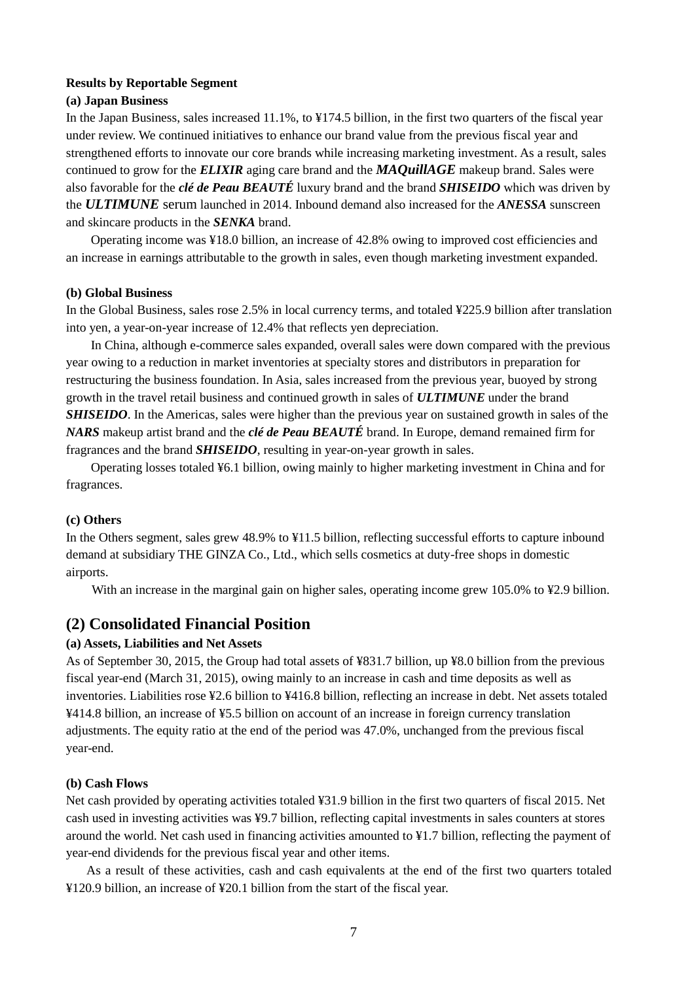#### **Results by Reportable Segment**

#### **(a) Japan Business**

In the Japan Business, sales increased 11.1%, to ¥174.5 billion, in the first two quarters of the fiscal year under review. We continued initiatives to enhance our brand value from the previous fiscal year and strengthened efforts to innovate our core brands while increasing marketing investment. As a result, sales continued to grow for the *ELIXIR* aging care brand and the *MAQuillAGE* makeup brand. Sales were also favorable for the *clé de Peau BEAUTÉ* luxury brand and the brand *SHISEIDO* which was driven by the *ULTIMUNE* serum launched in 2014. Inbound demand also increased for the *ANESSA* sunscreen and skincare products in the *SENKA* brand.

Operating income was ¥18.0 billion, an increase of 42.8% owing to improved cost efficiencies and an increase in earnings attributable to the growth in sales, even though marketing investment expanded.

#### **(b) Global Business**

In the Global Business, sales rose 2.5% in local currency terms, and totaled ¥225.9 billion after translation into yen, a year-on-year increase of 12.4% that reflects yen depreciation.

In China, although e-commerce sales expanded, overall sales were down compared with the previous year owing to a reduction in market inventories at specialty stores and distributors in preparation for restructuring the business foundation. In Asia, sales increased from the previous year, buoyed by strong growth in the travel retail business and continued growth in sales of *ULTIMUNE* under the brand *SHISEIDO*. In the Americas, sales were higher than the previous year on sustained growth in sales of the *NARS* makeup artist brand and the *clé de Peau BEAUTÉ* brand. In Europe, demand remained firm for fragrances and the brand *SHISEIDO*, resulting in year-on-year growth in sales.

Operating losses totaled ¥6.1 billion, owing mainly to higher marketing investment in China and for fragrances.

#### **(c) Others**

In the Others segment, sales grew 48.9% to ¥11.5 billion, reflecting successful efforts to capture inbound demand at subsidiary THE GINZA Co., Ltd., which sells cosmetics at duty-free shops in domestic airports.

With an increase in the marginal gain on higher sales, operating income grew 105.0% to ¥2.9 billion.

#### **(2) Consolidated Financial Position**

#### **(a) Assets, Liabilities and Net Assets**

As of September 30, 2015, the Group had total assets of ¥831.7 billion, up ¥8.0 billion from the previous fiscal year-end (March 31, 2015), owing mainly to an increase in cash and time deposits as well as inventories. Liabilities rose ¥2.6 billion to ¥416.8 billion, reflecting an increase in debt. Net assets totaled ¥414.8 billion, an increase of ¥5.5 billion on account of an increase in foreign currency translation adjustments. The equity ratio at the end of the period was 47.0%, unchanged from the previous fiscal year-end.

#### **(b) Cash Flows**

Net cash provided by operating activities totaled ¥31.9 billion in the first two quarters of fiscal 2015. Net cash used in investing activities was ¥9.7 billion, reflecting capital investments in sales counters at stores around the world. Net cash used in financing activities amounted to ¥1.7 billion, reflecting the payment of year-end dividends for the previous fiscal year and other items.

As a result of these activities, cash and cash equivalents at the end of the first two quarters totaled ¥120.9 billion, an increase of ¥20.1 billion from the start of the fiscal year.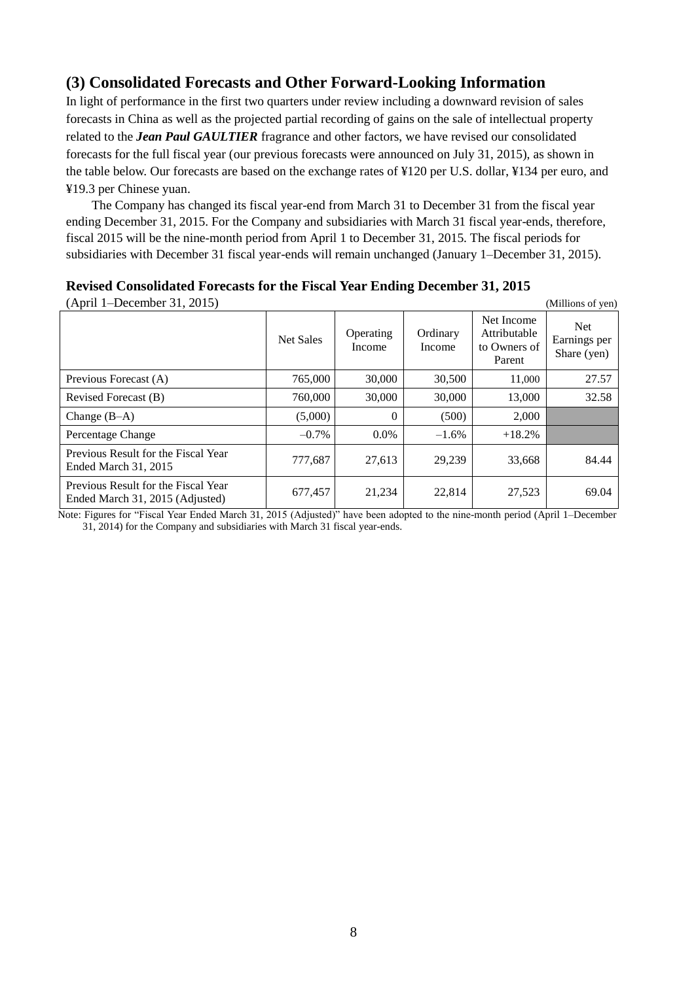# **(3) Consolidated Forecasts and Other Forward-Looking Information**

In light of performance in the first two quarters under review including a downward revision of sales forecasts in China as well as the projected partial recording of gains on the sale of intellectual property related to the *Jean Paul GAULTIER* fragrance and other factors, we have revised our consolidated forecasts for the full fiscal year (our previous forecasts were announced on July 31, 2015), as shown in the table below. Our forecasts are based on the exchange rates of ¥120 per U.S. dollar, ¥134 per euro, and ¥19.3 per Chinese yuan.

The Company has changed its fiscal year-end from March 31 to December 31 from the fiscal year ending December 31, 2015. For the Company and subsidiaries with March 31 fiscal year-ends, therefore, fiscal 2015 will be the nine-month period from April 1 to December 31, 2015. The fiscal periods for subsidiaries with December 31 fiscal year-ends will remain unchanged (January 1–December 31, 2015).

|  |  | <b>Revised Consolidated Forecasts for the Fiscal Year Ending December 31, 2015</b> |  |  |  |  |
|--|--|------------------------------------------------------------------------------------|--|--|--|--|
|--|--|------------------------------------------------------------------------------------|--|--|--|--|

(April 1–December 31, 2015) (Millions of yen)

|                                                                        | <b>Net Sales</b> | Operating<br>Income | Ordinary<br>Income | Net Income<br>Attributable<br>to Owners of<br>Parent | <b>Net</b><br>Earnings per<br>Share (yen) |
|------------------------------------------------------------------------|------------------|---------------------|--------------------|------------------------------------------------------|-------------------------------------------|
| Previous Forecast (A)                                                  | 765,000          | 30,000              | 30,500             | 11,000                                               | 27.57                                     |
| Revised Forecast (B)                                                   | 760,000          | 30,000              | 30,000             | 13,000                                               | 32.58                                     |
| Change $(B-A)$                                                         | (5,000)          | $\theta$            | (500)              | 2,000                                                |                                           |
| Percentage Change                                                      | $-0.7\%$         | $0.0\%$             | $-1.6%$            | $+18.2%$                                             |                                           |
| Previous Result for the Fiscal Year<br>Ended March 31, 2015            | 777,687          | 27,613              | 29,239             | 33,668                                               | 84.44                                     |
| Previous Result for the Fiscal Year<br>Ended March 31, 2015 (Adjusted) | 677,457          | 21.234              | 22,814             | 27,523                                               | 69.04                                     |

Note: Figures for "Fiscal Year Ended March 31, 2015 (Adjusted)" have been adopted to the nine-month period (April 1–December 31, 2014) for the Company and subsidiaries with March 31 fiscal year-ends.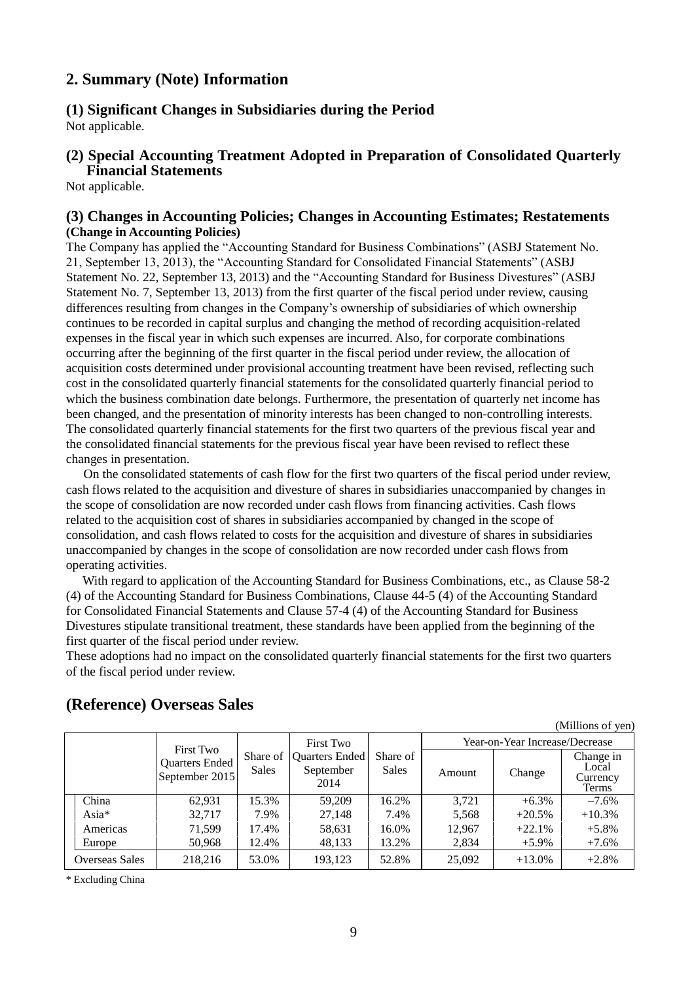# **2. Summary (Note) Information**

# **(1) Significant Changes in Subsidiaries during the Period**

Not applicable.

# **(2) Special Accounting Treatment Adopted in Preparation of Consolidated Quarterly Financial Statements**

Not applicable.

## **(3) Changes in Accounting Policies; Changes in Accounting Estimates; Restatements (Change in Accounting Policies)**

The Company has applied the "Accounting Standard for Business Combinations" (ASBJ Statement No. 21, September 13, 2013), the "Accounting Standard for Consolidated Financial Statements" (ASBJ Statement No. 22, September 13, 2013) and the "Accounting Standard for Business Divestures" (ASBJ Statement No. 7, September 13, 2013) from the first quarter of the fiscal period under review, causing differences resulting from changes in the Company's ownership of subsidiaries of which ownership continues to be recorded in capital surplus and changing the method of recording acquisition-related expenses in the fiscal year in which such expenses are incurred. Also, for corporate combinations occurring after the beginning of the first quarter in the fiscal period under review, the allocation of acquisition costs determined under provisional accounting treatment have been revised, reflecting such cost in the consolidated quarterly financial statements for the consolidated quarterly financial period to which the business combination date belongs. Furthermore, the presentation of quarterly net income has been changed, and the presentation of minority interests has been changed to non-controlling interests. The consolidated quarterly financial statements for the first two quarters of the previous fiscal year and the consolidated financial statements for the previous fiscal year have been revised to reflect these changes in presentation.

On the consolidated statements of cash flow for the first two quarters of the fiscal period under review, cash flows related to the acquisition and divesture of shares in subsidiaries unaccompanied by changes in the scope of consolidation are now recorded under cash flows from financing activities. Cash flows related to the acquisition cost of shares in subsidiaries accompanied by changed in the scope of consolidation, and cash flows related to costs for the acquisition and divesture of shares in subsidiaries unaccompanied by changes in the scope of consolidation are now recorded under cash flows from operating activities.

With regard to application of the Accounting Standard for Business Combinations, etc., as Clause 58-2 (4) of the Accounting Standard for Business Combinations, Clause 44-5 (4) of the Accounting Standard for Consolidated Financial Statements and Clause 57-4 (4) of the Accounting Standard for Business Divestures stipulate transitional treatment, these standards have been applied from the beginning of the first quarter of the fiscal period under review.

These adoptions had no impact on the consolidated quarterly financial statements for the first two quarters of the fiscal period under review.

| (Millions of yen) |                                                             |                            |                                                         |                          |                                |          |                                         |  |
|-------------------|-------------------------------------------------------------|----------------------------|---------------------------------------------------------|--------------------------|--------------------------------|----------|-----------------------------------------|--|
|                   |                                                             |                            | <b>First Two</b><br>Quarters Ended<br>September<br>2014 | Share of<br><b>Sales</b> | Year-on-Year Increase/Decrease |          |                                         |  |
|                   | <b>First Two</b><br><b>Quarters Ended</b><br>September 2015 | Share of 1<br><b>Sales</b> |                                                         |                          | Amount                         | Change   | Change in<br>Local<br>Currency<br>Terms |  |
| China             | 62,931                                                      | 15.3%                      | 59,209                                                  | 16.2%                    | 3.721                          | $+6.3%$  | $-7.6\%$                                |  |
| Asia $*$          | 32.717                                                      | 7.9%                       | 27,148                                                  | 7.4%                     | 5,568                          | $+20.5%$ | $+10.3%$                                |  |
| Americas          | 71,599                                                      | 17.4%                      | 58,631                                                  | 16.0%                    | 12,967                         | $+22.1%$ | $+5.8\%$                                |  |
| Europe            | 50,968                                                      | 12.4%                      | 48,133                                                  | 13.2%                    | 2,834                          | $+5.9\%$ | $+7.6%$                                 |  |
| Overseas Sales    | 218,216                                                     | 53.0%                      | 193,123                                                 | 52.8%                    | 25,092                         | $+13.0%$ | $+2.8%$                                 |  |

 $(1)$   $(2)$   $(3)$ 

# **(Reference) Overseas Sales**

\* Excluding China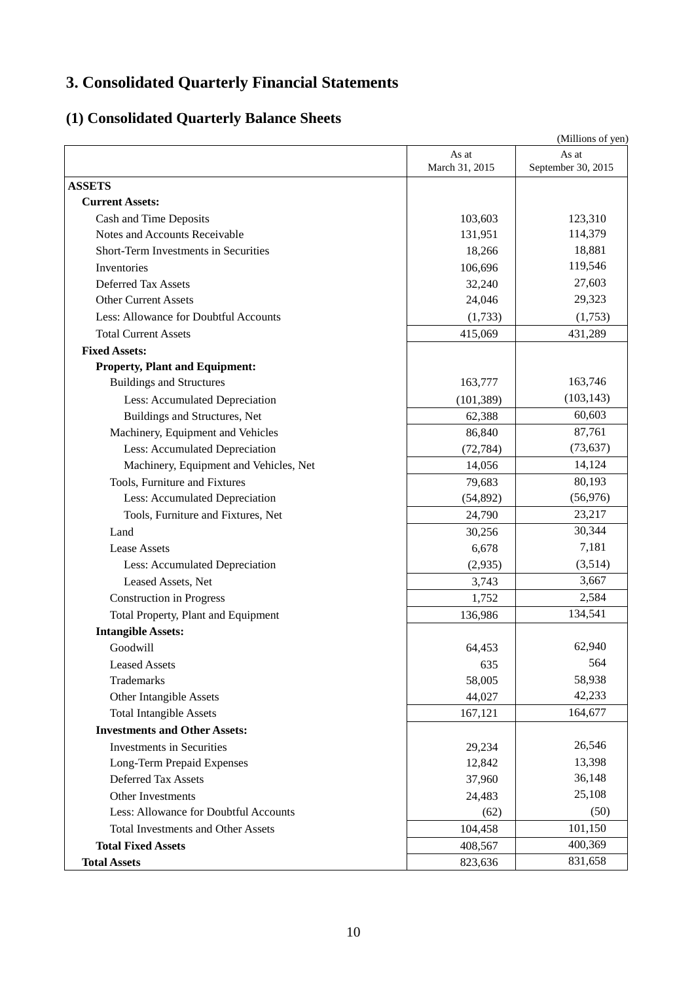# **3. Consolidated Quarterly Financial Statements**

# **(1) Consolidated Quarterly Balance Sheets**

|                                                         |                | (Millions of yen)  |
|---------------------------------------------------------|----------------|--------------------|
|                                                         | As at          | As at              |
| <b>ASSETS</b>                                           | March 31, 2015 | September 30, 2015 |
|                                                         |                |                    |
| <b>Current Assets:</b>                                  |                |                    |
| Cash and Time Deposits<br>Notes and Accounts Receivable | 103,603        | 123,310            |
|                                                         | 131,951        | 114,379<br>18,881  |
| Short-Term Investments in Securities                    | 18,266         | 119,546            |
| Inventories                                             | 106,696        |                    |
| Deferred Tax Assets                                     | 32,240         | 27,603             |
| <b>Other Current Assets</b>                             | 24,046         | 29,323             |
| Less: Allowance for Doubtful Accounts                   | (1,733)        | (1,753)            |
| <b>Total Current Assets</b>                             | 415,069        | 431,289            |
| <b>Fixed Assets:</b>                                    |                |                    |
| <b>Property, Plant and Equipment:</b>                   |                |                    |
| <b>Buildings and Structures</b>                         | 163,777        | 163,746            |
| Less: Accumulated Depreciation                          | (101, 389)     | (103, 143)         |
| Buildings and Structures, Net                           | 62,388         | 60,603             |
| Machinery, Equipment and Vehicles                       | 86,840         | 87,761             |
| Less: Accumulated Depreciation                          | (72, 784)      | (73, 637)          |
| Machinery, Equipment and Vehicles, Net                  | 14,056         | 14,124             |
| Tools, Furniture and Fixtures                           | 79,683         | 80,193             |
| Less: Accumulated Depreciation                          | (54, 892)      | (56, 976)          |
| Tools, Furniture and Fixtures, Net                      | 24,790         | 23,217             |
| Land                                                    | 30,256         | 30,344             |
| <b>Lease Assets</b>                                     | 6,678          | 7,181              |
| Less: Accumulated Depreciation                          | (2,935)        | (3,514)            |
| Leased Assets, Net                                      | 3,743          | 3,667              |
| <b>Construction in Progress</b>                         | 1,752          | 2,584              |
| Total Property, Plant and Equipment                     | 136,986        | 134,541            |
| <b>Intangible Assets:</b>                               |                |                    |
| Goodwill                                                | 64,453         | 62,940             |
| <b>Leased Assets</b>                                    | 635            | 564                |
| Trademarks                                              | 58,005         | 58,938             |
| Other Intangible Assets                                 | 44,027         | 42,233             |
| <b>Total Intangible Assets</b>                          | 167,121        | 164,677            |
| <b>Investments and Other Assets:</b>                    |                |                    |
| <b>Investments in Securities</b>                        | 29,234         | 26,546             |
| Long-Term Prepaid Expenses                              | 12,842         | 13,398             |
| <b>Deferred Tax Assets</b>                              | 37,960         | 36,148             |
| <b>Other Investments</b>                                | 24,483         | 25,108             |
| Less: Allowance for Doubtful Accounts                   | (62)           | (50)               |
| <b>Total Investments and Other Assets</b>               | 104,458        | 101,150            |
| <b>Total Fixed Assets</b>                               | 408,567        | 400,369            |
| <b>Total Assets</b>                                     | 823,636        | 831,658            |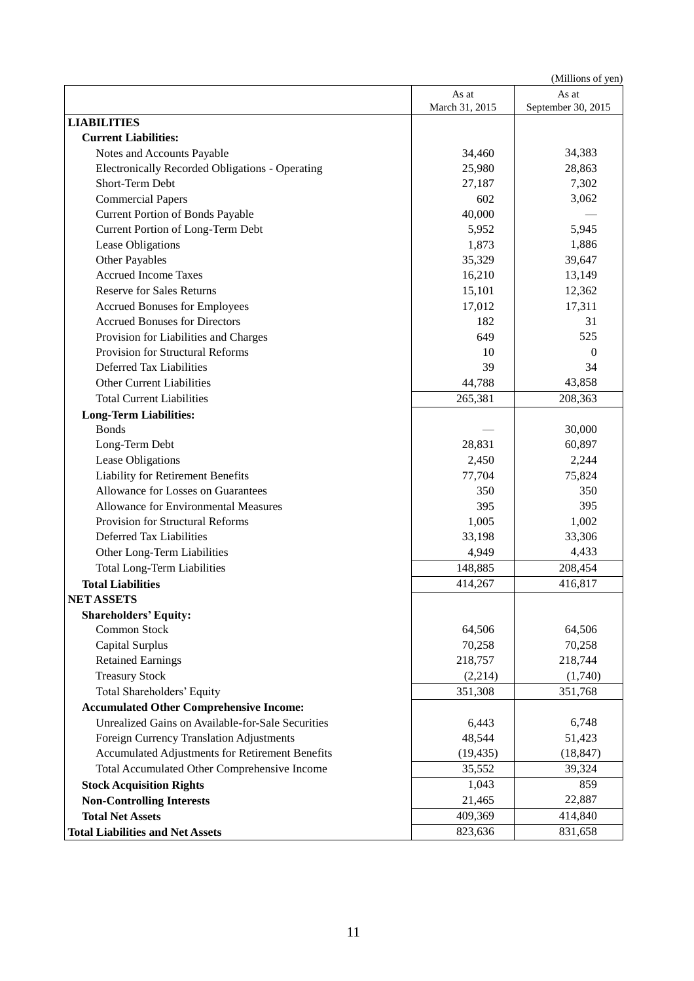(Millions of yen)

|                                                   | As at          | As at              |
|---------------------------------------------------|----------------|--------------------|
| <b>LIABILITIES</b>                                | March 31, 2015 | September 30, 2015 |
| <b>Current Liabilities:</b>                       |                |                    |
| Notes and Accounts Payable                        | 34,460         | 34,383             |
| Electronically Recorded Obligations - Operating   | 25,980         | 28,863             |
| Short-Term Debt                                   | 27,187         | 7,302              |
| <b>Commercial Papers</b>                          | 602            | 3,062              |
| <b>Current Portion of Bonds Payable</b>           | 40,000         |                    |
| Current Portion of Long-Term Debt                 | 5,952          | 5,945              |
| Lease Obligations                                 | 1,873          | 1,886              |
| <b>Other Payables</b>                             | 35,329         | 39,647             |
| <b>Accrued Income Taxes</b>                       | 16,210         | 13,149             |
| <b>Reserve for Sales Returns</b>                  | 15,101         | 12,362             |
| <b>Accrued Bonuses for Employees</b>              | 17,012         | 17,311             |
| <b>Accrued Bonuses for Directors</b>              | 182            | 31                 |
| Provision for Liabilities and Charges             | 649            | 525                |
| <b>Provision for Structural Reforms</b>           | 10             | $\theta$           |
| Deferred Tax Liabilities                          | 39             | 34                 |
| <b>Other Current Liabilities</b>                  | 44,788         | 43,858             |
| <b>Total Current Liabilities</b>                  | 265,381        | 208,363            |
| <b>Long-Term Liabilities:</b>                     |                |                    |
| <b>Bonds</b>                                      |                | 30,000             |
| Long-Term Debt                                    | 28,831         | 60,897             |
| Lease Obligations                                 | 2,450          | 2,244              |
| Liability for Retirement Benefits                 | 77,704         | 75,824             |
| Allowance for Losses on Guarantees                | 350            | 350                |
| Allowance for Environmental Measures              | 395            | 395                |
| Provision for Structural Reforms                  | 1,005          | 1,002              |
| Deferred Tax Liabilities                          | 33,198         | 33,306             |
| Other Long-Term Liabilities                       | 4,949          | 4,433              |
| <b>Total Long-Term Liabilities</b>                | 148,885        | 208,454            |
| <b>Total Liabilities</b>                          | 414,267        | 416,817            |
| <b>NET ASSETS</b>                                 |                |                    |
| <b>Shareholders' Equity:</b>                      |                |                    |
| Common Stock                                      | 64,506         | 64,506             |
| Capital Surplus                                   | 70,258         | 70,258             |
| <b>Retained Earnings</b>                          | 218,757        | 218,744            |
| <b>Treasury Stock</b>                             | (2,214)        | (1,740)            |
| Total Shareholders' Equity                        | 351,308        | 351,768            |
| <b>Accumulated Other Comprehensive Income:</b>    |                |                    |
| Unrealized Gains on Available-for-Sale Securities | 6,443          | 6,748              |
| <b>Foreign Currency Translation Adjustments</b>   | 48,544         | 51,423             |
| Accumulated Adjustments for Retirement Benefits   | (19, 435)      | (18, 847)          |
| Total Accumulated Other Comprehensive Income      | 35,552         | 39,324             |
| <b>Stock Acquisition Rights</b>                   | 1,043          | 859                |
| <b>Non-Controlling Interests</b>                  | 21,465         | 22,887             |
| <b>Total Net Assets</b>                           | 409,369        | 414,840            |
| <b>Total Liabilities and Net Assets</b>           | 823,636        | 831,658            |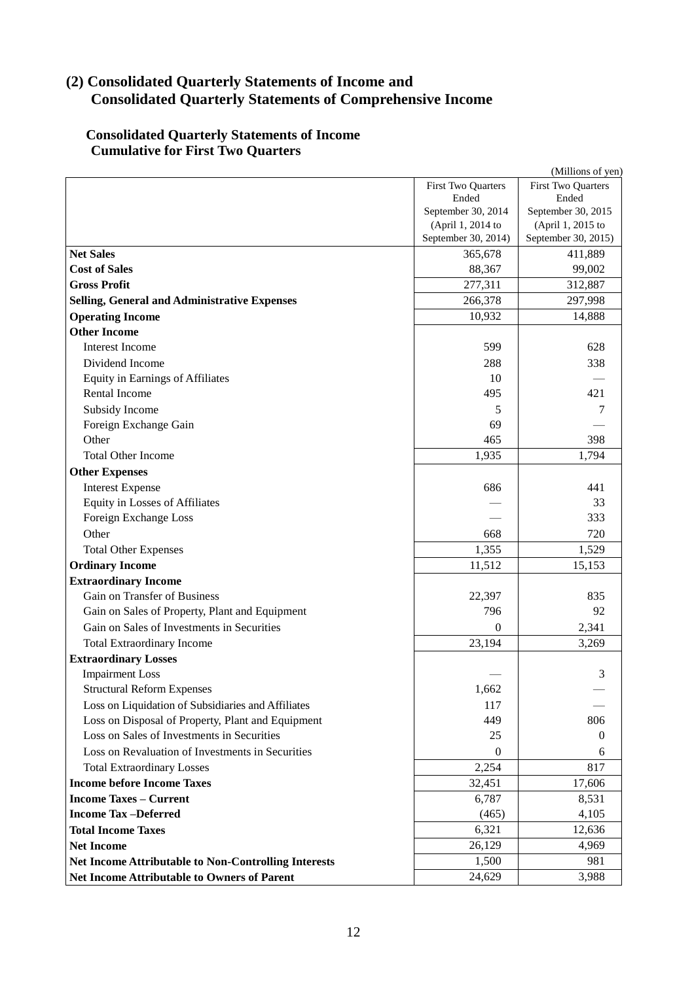# **(2) Consolidated Quarterly Statements of Income and Consolidated Quarterly Statements of Comprehensive Income**

# **Consolidated Quarterly Statements of Income Cumulative for First Two Quarters**

| (Millions of yen)                                           |                                          |                     |  |  |
|-------------------------------------------------------------|------------------------------------------|---------------------|--|--|
| First Two Quarters<br><b>First Two Quarters</b>             |                                          |                     |  |  |
|                                                             | Ended                                    | Ended               |  |  |
|                                                             | September 30, 2014                       | September 30, 2015  |  |  |
|                                                             | (April 1, 2014 to<br>September 30, 2014) | (April 1, 2015 to   |  |  |
|                                                             | 365,678                                  | September 30, 2015) |  |  |
| <b>Net Sales</b><br><b>Cost of Sales</b>                    |                                          | 411,889             |  |  |
|                                                             | 88,367                                   | 99,002              |  |  |
| <b>Gross Profit</b>                                         | 277,311                                  | 312,887             |  |  |
| Selling, General and Administrative Expenses                | 266,378                                  | 297,998             |  |  |
| <b>Operating Income</b>                                     | 10,932                                   | 14,888              |  |  |
| <b>Other Income</b>                                         |                                          |                     |  |  |
| <b>Interest Income</b>                                      | 599                                      | 628                 |  |  |
| Dividend Income                                             | 288                                      | 338                 |  |  |
| Equity in Earnings of Affiliates                            | 10                                       |                     |  |  |
| Rental Income                                               | 495                                      | 421                 |  |  |
| Subsidy Income                                              | 5                                        | 7                   |  |  |
| Foreign Exchange Gain                                       | 69                                       |                     |  |  |
| Other                                                       | 465                                      | 398                 |  |  |
| <b>Total Other Income</b>                                   | 1,935                                    | 1,794               |  |  |
| <b>Other Expenses</b>                                       |                                          |                     |  |  |
| <b>Interest Expense</b>                                     | 686                                      | 441                 |  |  |
| <b>Equity in Losses of Affiliates</b>                       |                                          | 33                  |  |  |
| Foreign Exchange Loss                                       |                                          | 333                 |  |  |
| Other                                                       | 668                                      | 720                 |  |  |
| <b>Total Other Expenses</b>                                 | 1,355                                    | 1,529               |  |  |
| <b>Ordinary Income</b>                                      | 11,512                                   | 15,153              |  |  |
| <b>Extraordinary Income</b>                                 |                                          |                     |  |  |
| Gain on Transfer of Business                                | 22,397                                   | 835                 |  |  |
| Gain on Sales of Property, Plant and Equipment              | 796                                      | 92                  |  |  |
| Gain on Sales of Investments in Securities                  | $\Omega$                                 | 2,341               |  |  |
| <b>Total Extraordinary Income</b>                           | 23,194                                   | 3,269               |  |  |
| <b>Extraordinary Losses</b>                                 |                                          |                     |  |  |
| <b>Impairment Loss</b>                                      |                                          | 3                   |  |  |
| <b>Structural Reform Expenses</b>                           | 1,662                                    |                     |  |  |
| Loss on Liquidation of Subsidiaries and Affiliates          | 117                                      |                     |  |  |
| Loss on Disposal of Property, Plant and Equipment           | 449                                      | 806                 |  |  |
| Loss on Sales of Investments in Securities                  | 25                                       | $\overline{0}$      |  |  |
| Loss on Revaluation of Investments in Securities            | $\Omega$                                 | 6                   |  |  |
| <b>Total Extraordinary Losses</b>                           | 2,254                                    | 817                 |  |  |
| <b>Income before Income Taxes</b>                           | 32,451                                   | 17,606              |  |  |
| <b>Income Taxes - Current</b>                               | 6,787                                    | 8,531               |  |  |
| <b>Income Tax-Deferred</b>                                  | (465)                                    | 4,105               |  |  |
| <b>Total Income Taxes</b>                                   | 6,321                                    | 12,636              |  |  |
| <b>Net Income</b>                                           | 26,129                                   | 4,969               |  |  |
|                                                             |                                          |                     |  |  |
| <b>Net Income Attributable to Non-Controlling Interests</b> | 1,500                                    | 981                 |  |  |
| Net Income Attributable to Owners of Parent                 | 24,629                                   | 3,988               |  |  |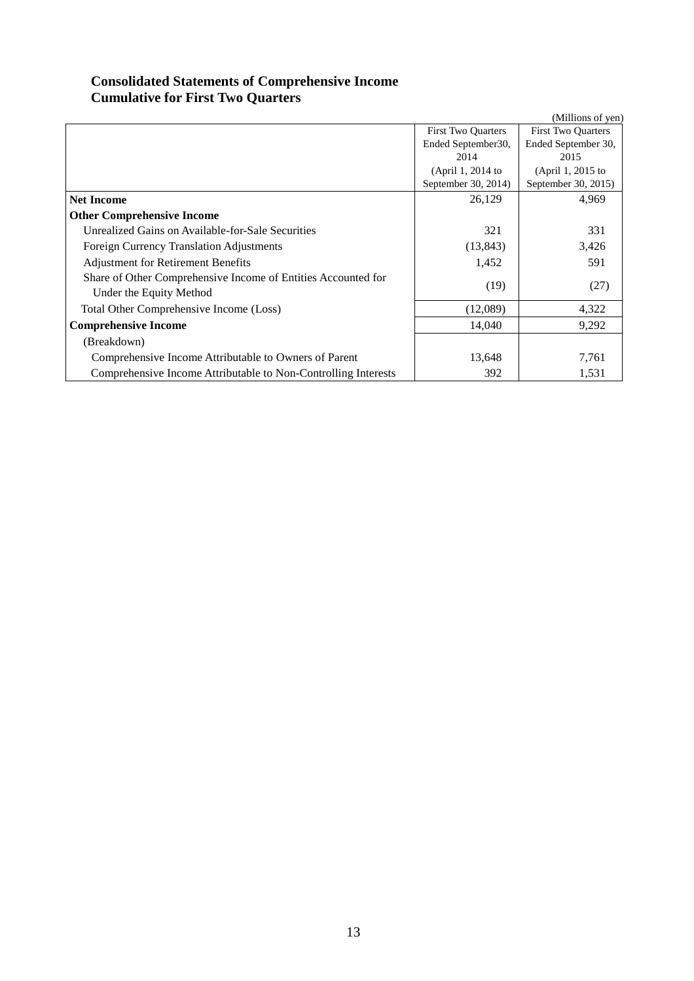# **Consolidated Statements of Comprehensive Income Cumulative for First Two Quarters**

|                                                                |                     | (Millions of yen)         |
|----------------------------------------------------------------|---------------------|---------------------------|
|                                                                | First Two Quarters  | <b>First Two Quarters</b> |
|                                                                | Ended September 30, | Ended September 30,       |
|                                                                | 2014                | 2015                      |
|                                                                | (April 1, 2014 to   | (April 1, 2015 to         |
|                                                                | September 30, 2014) | September 30, 2015)       |
| <b>Net Income</b>                                              | 26,129              | 4,969                     |
| <b>Other Comprehensive Income</b>                              |                     |                           |
| Unrealized Gains on Available-for-Sale Securities              | 321                 | 331                       |
| Foreign Currency Translation Adjustments                       | (13, 843)           | 3,426                     |
| <b>Adjustment for Retirement Benefits</b>                      | 1,452               | 591                       |
| Share of Other Comprehensive Income of Entities Accounted for  | (19)                | (27)                      |
| Under the Equity Method                                        |                     |                           |
| Total Other Comprehensive Income (Loss)                        | (12,089)            | 4,322                     |
| <b>Comprehensive Income</b>                                    | 14,040              | 9,292                     |
| (Breakdown)                                                    |                     |                           |
| Comprehensive Income Attributable to Owners of Parent          | 13,648              | 7,761                     |
| Comprehensive Income Attributable to Non-Controlling Interests | 392                 | 1,531                     |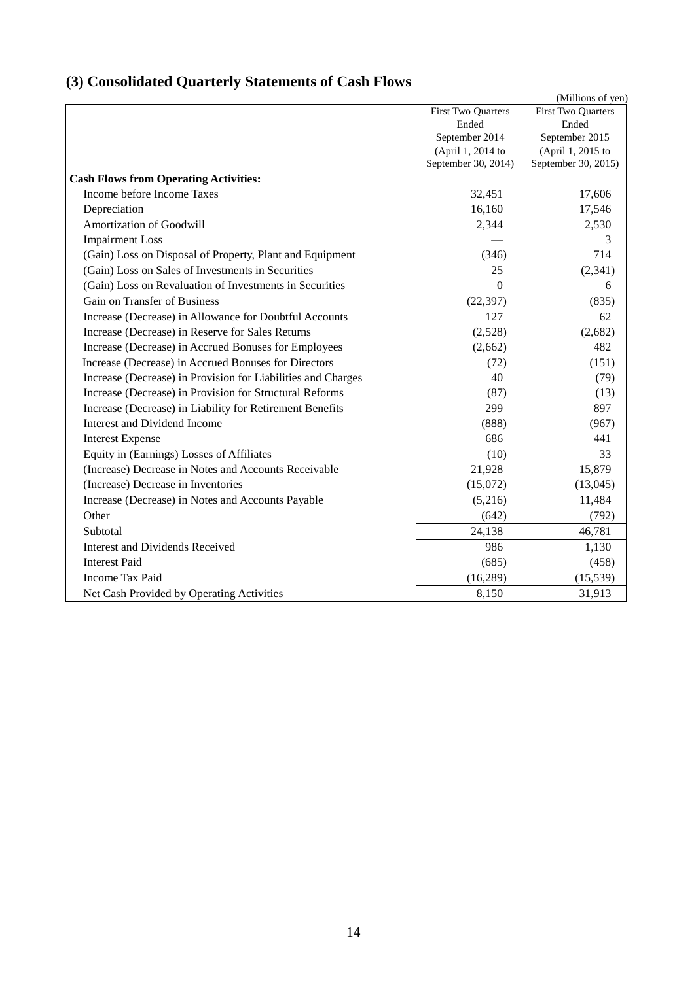# **(3) Consolidated Quarterly Statements of Cash Flows**

|                                                              |                                          | (Millions of yen)                        |
|--------------------------------------------------------------|------------------------------------------|------------------------------------------|
|                                                              | First Two Quarters                       | First Two Quarters                       |
|                                                              | Ended                                    | Ended                                    |
|                                                              | September 2014                           | September 2015                           |
|                                                              | (April 1, 2014 to<br>September 30, 2014) | (April 1, 2015 to<br>September 30, 2015) |
| <b>Cash Flows from Operating Activities:</b>                 |                                          |                                          |
| Income before Income Taxes                                   | 32,451                                   | 17,606                                   |
| Depreciation                                                 | 16,160                                   | 17,546                                   |
| Amortization of Goodwill                                     | 2,344                                    | 2,530                                    |
| <b>Impairment Loss</b>                                       |                                          | 3                                        |
| (Gain) Loss on Disposal of Property, Plant and Equipment     | (346)                                    | 714                                      |
| (Gain) Loss on Sales of Investments in Securities            | 25                                       | (2, 341)                                 |
| (Gain) Loss on Revaluation of Investments in Securities      | $\Omega$                                 | 6                                        |
| Gain on Transfer of Business                                 | (22, 397)                                | (835)                                    |
| Increase (Decrease) in Allowance for Doubtful Accounts       | 127                                      | 62                                       |
| Increase (Decrease) in Reserve for Sales Returns             | (2,528)                                  | (2,682)                                  |
| Increase (Decrease) in Accrued Bonuses for Employees         | (2,662)                                  | 482                                      |
| Increase (Decrease) in Accrued Bonuses for Directors         | (72)                                     | (151)                                    |
| Increase (Decrease) in Provision for Liabilities and Charges | 40                                       | (79)                                     |
| Increase (Decrease) in Provision for Structural Reforms      | (87)                                     | (13)                                     |
| Increase (Decrease) in Liability for Retirement Benefits     | 299                                      | 897                                      |
| Interest and Dividend Income                                 | (888)                                    | (967)                                    |
| <b>Interest Expense</b>                                      | 686                                      | 441                                      |
| Equity in (Earnings) Losses of Affiliates                    | (10)                                     | 33                                       |
| (Increase) Decrease in Notes and Accounts Receivable         | 21,928                                   | 15,879                                   |
| (Increase) Decrease in Inventories                           | (15,072)                                 | (13,045)                                 |
| Increase (Decrease) in Notes and Accounts Payable            | (5,216)                                  | 11,484                                   |
| Other                                                        | (642)                                    | (792)                                    |
| Subtotal                                                     | 24,138                                   | 46,781                                   |
| <b>Interest and Dividends Received</b>                       | 986                                      | 1,130                                    |
| <b>Interest Paid</b>                                         | (685)                                    | (458)                                    |
| <b>Income Tax Paid</b>                                       | (16, 289)                                | (15, 539)                                |
| Net Cash Provided by Operating Activities                    | 8,150                                    | 31,913                                   |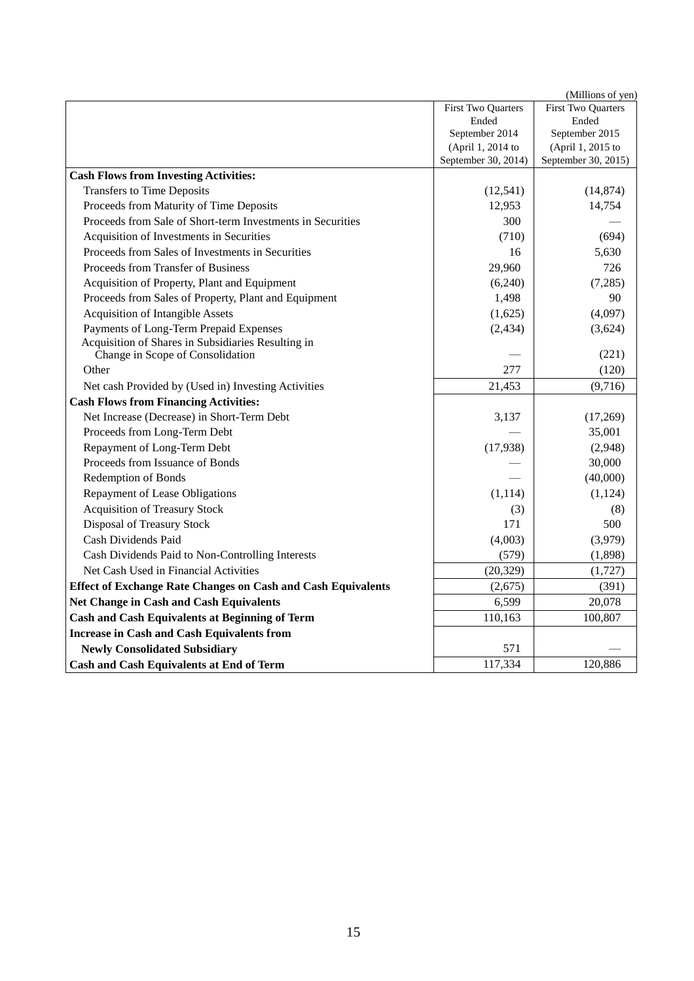|                                                              |                     | (Millions of yen)   |
|--------------------------------------------------------------|---------------------|---------------------|
|                                                              | First Two Quarters  | First Two Quarters  |
|                                                              | Ended               | Ended               |
|                                                              | September 2014      | September 2015      |
|                                                              | (April 1, 2014 to   | (April 1, 2015 to   |
|                                                              | September 30, 2014) | September 30, 2015) |
| <b>Cash Flows from Investing Activities:</b>                 |                     |                     |
| Transfers to Time Deposits                                   | (12, 541)           | (14, 874)           |
| Proceeds from Maturity of Time Deposits                      | 12,953              | 14,754              |
| Proceeds from Sale of Short-term Investments in Securities   | 300                 |                     |
| Acquisition of Investments in Securities                     | (710)               | (694)               |
| Proceeds from Sales of Investments in Securities             | 16                  | 5,630               |
| Proceeds from Transfer of Business                           | 29,960              | 726                 |
| Acquisition of Property, Plant and Equipment                 | (6,240)             | (7, 285)            |
| Proceeds from Sales of Property, Plant and Equipment         | 1,498               | 90                  |
| <b>Acquisition of Intangible Assets</b>                      | (1,625)             | (4,097)             |
| Payments of Long-Term Prepaid Expenses                       | (2, 434)            | (3,624)             |
| Acquisition of Shares in Subsidiaries Resulting in           |                     |                     |
| Change in Scope of Consolidation                             |                     | (221)               |
| Other                                                        | 277                 | (120)               |
| Net cash Provided by (Used in) Investing Activities          | 21,453              | (9,716)             |
| <b>Cash Flows from Financing Activities:</b>                 |                     |                     |
| Net Increase (Decrease) in Short-Term Debt                   | 3,137               | (17,269)            |
| Proceeds from Long-Term Debt                                 |                     | 35,001              |
| Repayment of Long-Term Debt                                  | (17,938)            | (2,948)             |
| Proceeds from Issuance of Bonds                              |                     | 30,000              |
| Redemption of Bonds                                          |                     | (40,000)            |
| Repayment of Lease Obligations                               | (1, 114)            | (1, 124)            |
| <b>Acquisition of Treasury Stock</b>                         | (3)                 | (8)                 |
| Disposal of Treasury Stock                                   | 171                 | 500                 |
| Cash Dividends Paid                                          | (4,003)             | (3,979)             |
| Cash Dividends Paid to Non-Controlling Interests             | (579)               | (1,898)             |
| Net Cash Used in Financial Activities                        | (20, 329)           | (1, 727)            |
| Effect of Exchange Rate Changes on Cash and Cash Equivalents | (2,675)             | (391)               |
| Net Change in Cash and Cash Equivalents                      | 6,599               | 20,078              |
| <b>Cash and Cash Equivalents at Beginning of Term</b>        | 110,163             | 100,807             |
| <b>Increase in Cash and Cash Equivalents from</b>            |                     |                     |
| <b>Newly Consolidated Subsidiary</b>                         | 571                 |                     |
| <b>Cash and Cash Equivalents at End of Term</b>              | 117,334             | 120,886             |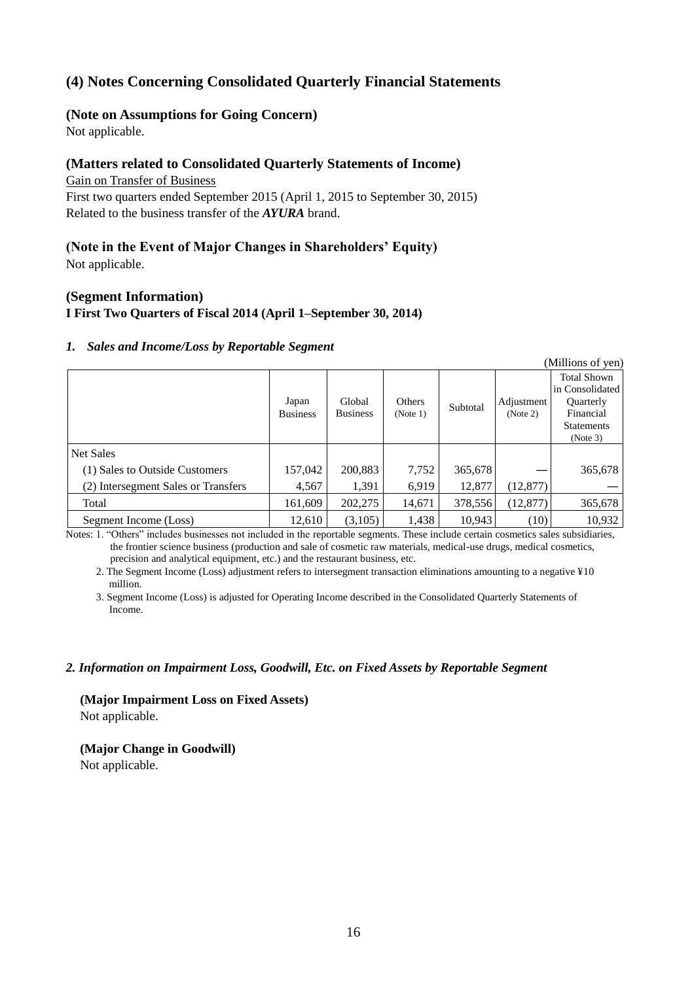# **(4) Notes Concerning Consolidated Quarterly Financial Statements**

## **(Note on Assumptions for Going Concern)**

Not applicable.

# **(Matters related to Consolidated Quarterly Statements of Income)**

Gain on Transfer of Business

First two quarters ended September 2015 (April 1, 2015 to September 30, 2015) Related to the business transfer of the *AYURA* brand.

# **(Note in the Event of Major Changes in Shareholders' Equity)**

Not applicable.

## **(Segment Information)**

#### **I First Two Quarters of Fiscal 2014 (April 1–September 30, 2014)**

#### *1. Sales and Income/Loss by Reportable Segment*

|                                     |                          |                           |                    |          |                        | (Millions of yen)                                                                                       |
|-------------------------------------|--------------------------|---------------------------|--------------------|----------|------------------------|---------------------------------------------------------------------------------------------------------|
|                                     | Japan<br><b>Business</b> | Global<br><b>Business</b> | Others<br>(Note 1) | Subtotal | Adjustment<br>(Note 2) | <b>Total Shown</b><br>in Consolidated<br><b>Ouarterly</b><br>Financial<br><b>Statements</b><br>(Note 3) |
| Net Sales                           |                          |                           |                    |          |                        |                                                                                                         |
| (1) Sales to Outside Customers      | 157,042                  | 200,883                   | 7,752              | 365,678  |                        | 365,678                                                                                                 |
| (2) Intersegment Sales or Transfers | 4,567                    | 1,391                     | 6,919              | 12,877   | (12, 877)              |                                                                                                         |
| Total                               | 161,609                  | 202,275                   | 14,671             | 378,556  | (12, 877)              | 365,678                                                                                                 |
| Segment Income (Loss)               | 12,610                   | (3,105)                   | 1,438              | 10.943   | (10)                   | 10,932                                                                                                  |

Notes: 1. "Others" includes businesses not included in the reportable segments. These include certain cosmetics sales subsidiaries, the frontier science business (production and sale of cosmetic raw materials, medical-use drugs, medical cosmetics, precision and analytical equipment, etc.) and the restaurant business, etc.

2. The Segment Income (Loss) adjustment refers to intersegment transaction eliminations amounting to a negative ¥10 million.

3. Segment Income (Loss) is adjusted for Operating Income described in the Consolidated Quarterly Statements of Income.

#### *2. Information on Impairment Loss, Goodwill, Etc. on Fixed Assets by Reportable Segment*

**(Major Impairment Loss on Fixed Assets)** Not applicable.

**(Major Change in Goodwill)** Not applicable.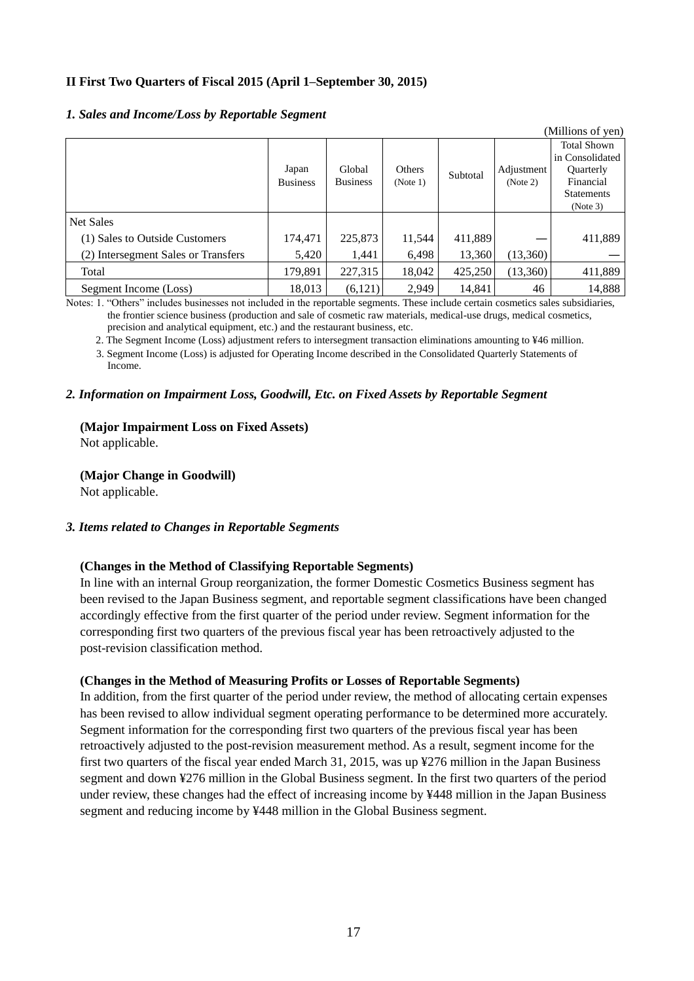## **II First Two Quarters of Fiscal 2015 (April 1–September 30, 2015)**

#### *1. Sales and Income/Loss by Reportable Segment*

|                                     |                          |                           |                    |          |                        | (Millions of yen)                                                                                       |
|-------------------------------------|--------------------------|---------------------------|--------------------|----------|------------------------|---------------------------------------------------------------------------------------------------------|
|                                     | Japan<br><b>Business</b> | Global<br><b>Business</b> | Others<br>(Note 1) | Subtotal | Adjustment<br>(Note 2) | <b>Total Shown</b><br>in Consolidated<br><b>Ouarterly</b><br>Financial<br><b>Statements</b><br>(Note 3) |
| Net Sales                           |                          |                           |                    |          |                        |                                                                                                         |
| (1) Sales to Outside Customers      | 174,471                  | 225,873                   | 11,544             | 411,889  |                        | 411,889                                                                                                 |
| (2) Intersegment Sales or Transfers | 5,420                    | 1,441                     | 6,498              | 13,360   | (13,360)               |                                                                                                         |
| Total                               | 179,891                  | 227,315                   | 18,042             | 425,250  | (13,360)               | 411,889                                                                                                 |
| Segment Income (Loss)               | 18,013                   | (6,121)                   | 2.949              | 14,841   | 46                     | 14,888                                                                                                  |

Notes: 1. "Others" includes businesses not included in the reportable segments. These include certain cosmetics sales subsidiaries, the frontier science business (production and sale of cosmetic raw materials, medical-use drugs, medical cosmetics, precision and analytical equipment, etc.) and the restaurant business, etc.

2. The Segment Income (Loss) adjustment refers to intersegment transaction eliminations amounting to ¥46 million.

3. Segment Income (Loss) is adjusted for Operating Income described in the Consolidated Quarterly Statements of Income.

#### *2. Information on Impairment Loss, Goodwill, Etc. on Fixed Assets by Reportable Segment*

#### **(Major Impairment Loss on Fixed Assets)**

Not applicable.

**(Major Change in Goodwill)** Not applicable.

#### *3. Items related to Changes in Reportable Segments*

#### **(Changes in the Method of Classifying Reportable Segments)**

In line with an internal Group reorganization, the former Domestic Cosmetics Business segment has been revised to the Japan Business segment, and reportable segment classifications have been changed accordingly effective from the first quarter of the period under review. Segment information for the corresponding first two quarters of the previous fiscal year has been retroactively adjusted to the post-revision classification method.

#### **(Changes in the Method of Measuring Profits or Losses of Reportable Segments)**

In addition, from the first quarter of the period under review, the method of allocating certain expenses has been revised to allow individual segment operating performance to be determined more accurately. Segment information for the corresponding first two quarters of the previous fiscal year has been retroactively adjusted to the post-revision measurement method. As a result, segment income for the first two quarters of the fiscal year ended March 31, 2015, was up ¥276 million in the Japan Business segment and down ¥276 million in the Global Business segment. In the first two quarters of the period under review, these changes had the effect of increasing income by ¥448 million in the Japan Business segment and reducing income by ¥448 million in the Global Business segment.